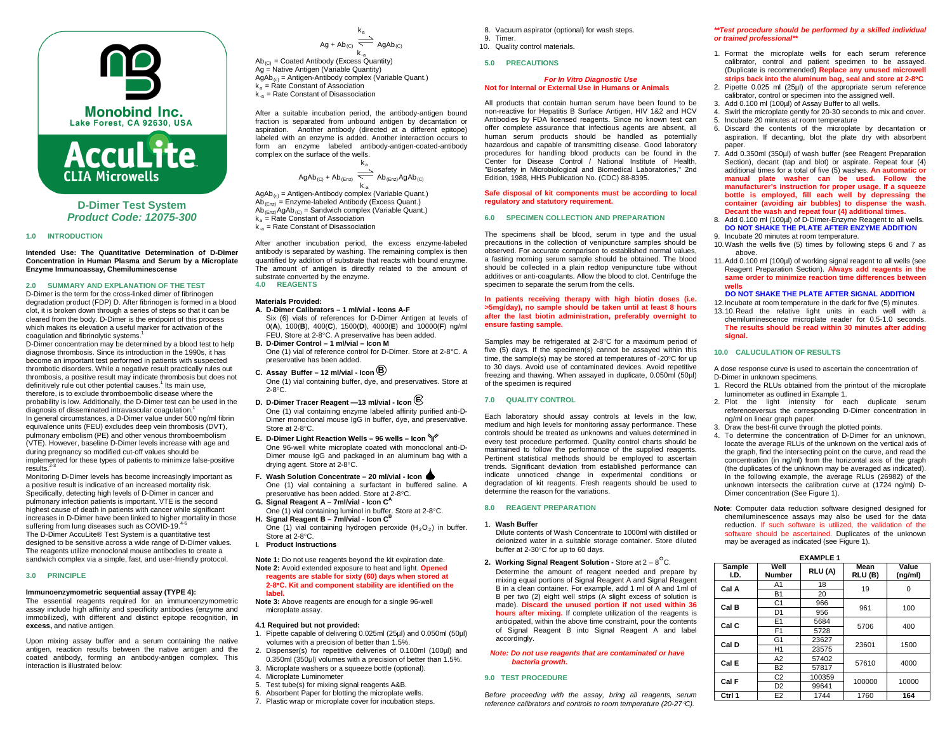



**D-Dimer Test System** *Product Code: 12075-300*

### **1.0 INTRODUCTION**

**Intended Use: The Quantitative Determination of D-Dimer Concentration in Human Plasma and Serum by a Microplate Enzyme Immunoassay, Chemiluminescense**

## **2.0 SUMMARY AND EXPLANATION OF THE TEST**

D-Dimer is the term for the cross-linked dimer of fibrinogen degradation product (FDP) D. After fibrinogen is formed in a blood clot, it is broken down through a series of steps so that it can be cleared from the body. D-Dimer is the endpoint of this process which makes its elevation a useful marker for activation of the coagulation and fibrinolytic systems.<sup>1</sup>

D-Dimer concentration may be determined by [a blood test](https://en.wikipedia.org/wiki/Blood_test) to help diagnos[e thrombosis.](https://en.wikipedia.org/wiki/Thrombosis) Since its introduction in the 1990s, it has become an important test performed in patients with suspected thrombotic disorders. While a negative result practically rules out thrombosis, a positive result may indicate thrombosis but does not definitively rule out other potential causes.<sup>1</sup> Its main use, therefore, is to exclude thromboembolic disease where the probability is low. Additionally, the D-Dimer test can be used in the diagnosis of [disseminated intravascular coagulation.](https://en.wikipedia.org/wiki/Disseminated_intravascular_coagulation)<sup>1</sup> In general circumstances, a D-Dimer value under 500 ng/ml fibrin equivalence units (FEU) excludes deep vein thrombosis (DVT), pulmonary embolism (PE) and other venous thromboembolism (VTE). However, baseline D-Dimer levels increase with age and during pregnancy so modified cut-off values should be implemented for these types of patients to minimize false-positive  $results.<sup>2-3</sup>$ 

Monitoring D-Dimer levels has become increasingly important as a positive result is indicative of an increased mortality risk. Specifically, detecting high levels of D-Dimer in cancer and pulmonary infection patients is important. VTE is the second highest cause of death in patients with cancer while significant increases in D-Dimer have been linked to higher mortality in those suffering from lung diseases such a[s COVID-19.](https://en.wikipedia.org/wiki/COVID-19)<sup>4-6</sup> The D-Dimer AccuLite® Test System is a quantitative test designed to be sensitive across a wide range of D-Dimer values. The reagents utilize monoclonal mouse antibodies to create a sandwich complex via a simple, fast, and user-friendly protocol.

#### **3.0 PRINCIPLE**

### **Immunoenzymometric sequential assay (TYPE 4):**

The essential reagents required for an immunoenzymometric assay include high affinity and specificity antibodies (enzyme and immobilized), with different and distinct epitope recognition, **in excess,** and native antigen.

Upon mixing assay buffer and a serum containing the native antigen, reaction results between the native antigen and the coated antibody, forming an antibody-antigen complex. This interaction is illustrated below:

 $\mathsf{Ag} + \mathsf{Ab}_{\mathsf{(C)}} \ \ \overline{\phantom{math}}{\mathsf{A}}$  Ag $\mathsf{Ab}_{\mathsf{(C)}}$ k.<sub>a</sub><br>Ab<sub>(C)</sub> = Coated Antibody (Excess Quantity) Ag = Native Antigen (Variable Quantity)  $\overline{AgAb}_{(c)}$  = Antigen-Antibody complex (Variable Quant.)  $k_a$  = Rate Constant of Association

 $k_{-a}$  = Rate Constant of Disassociation

After a suitable incubation period, the antibody-antigen bound fraction is separated from unbound antigen by decantation or aspiration. Another antibody (directed at a different epitope) labeled with an enzyme is added. Another interaction occurs to form an enzyme labeled antibody-antigen-coated-antibody complex on the surface of the wells.

 $\mathsf{k}_\mathsf{a}$ 

 $k_a$  $\mathsf{AgAb}_{(C)}$  + Ab $_{(Enc)}$   $\overline{\phantom{array}}$  Ab $_{(Enc)}$ AgAb $_{(C)}$ 

k.<sub>a</sub><br>AgAb<sub>(c)</sub> = Antigen-Antibody complex (Variable Quant.)  $A\bar{b}_{(Enz)} =$  Enzyme-labeled Antibody (Excess Quant.)  $Ab_{(Enz)}$ AgAb<sub>(C)</sub> = Sandwich complex (Variable Quant.)  $k_a$  = Rate Constant of Association  $k_{-a}$  = Rate Constant of Disassociation

After another incubation period, the excess enzyme-labeled antibody is separated by washing. The remaining complex is then quantified by addition of substrate that reacts with bound enzyme. The amount of antigen is directly related to the amount of substrate converted by the enzyme. **4.0 REAGENTS**

#### **Materials Provided:**

- **A. D-Dimer Calibrators – 1 ml/vial - Icons A-F** Six (6) vials of references for D-Dimer Antigen at levels of
	- 0(**A**), 100(**B**), 400(**C**), 1500(**D**), 4000(**E**) and 10000(**F**) ng/ml FEU. Store at 2-8°C. A preservative has been added.
- **B. D-Dimer Control – 1 ml/vial – Icon M** One (1) vial of reference control for D-Dimer. Store at 2-8°C. A preservative has been added.
- **C. Assay Buffer – <sup>12</sup> ml/vial - Icon B** One (1) vial containing buffer, dye, and preservatives. Store at
- 2-8°C. **D. D-Dimer Tracer Reagent —13 ml/vial - Icon E**
- One (1) vial containing enzyme labeled affinity purified anti-D-Dimer monoclonal mouse IgG in buffer, dye, and preservative. Store at 2-8°C.
- **E. D-Dimer Light Reaction Wells – 96 wells – Icon** One 96-well white microplate coated with monoclonal anti-D-Dimer mouse IgG and packaged in an aluminum bag with a drying agent. Store at 2-8°C.
- **F. Wash Solution Concentrate – 20 ml/vial - Icon**  One (1) vial containing a surfactant in buffered saline. A preservative has been added. Store at 2-8°C.
- **G. Signal Reagent A – 7ml/vial - Icon C<sup>A</sup>** One (1) vial containing luminol in buffer. Store at 2-8°C.
- **H.** Signal Reagent B 7ml/vial Icon C<sup>B</sup> One (1) vial containing hydrogen peroxide  $(H_2O_2)$  in buffer.
- Store at 2-8°C.
- **I. Product Instructions**

**Note 1:** Do not use reagents beyond the kit expiration date. **Note 2:** Avoid extended exposure to heat and light. **Opened reagents are stable for sixty (60) days when stored at 2-8**°**C. Kit and component stability are identified on the label.**

- **Note 3:** Above reagents are enough for a single 96-well microplate assay.
- **4.1 Required but not provided:**
- 1. Pipette capable of delivering 0.025ml (25µl) and 0.050ml (50µl) volumes with a precision of better than 1.5%.
- 2. Dispenser(s) for repetitive deliveries of 0.100ml (100µl) and 0.350ml (350µl) volumes with a precision of better than 1.5%.
- 3. Microplate washers or a squeeze bottle (optional).
- 4. Microplate Luminometer
- 5. Test tube(s) for mixing signal reagents A&B.
- 6. Absorbent Paper for blotting the microplate wells.
- 7. Plastic wrap or microplate cover for incubation steps.
- 8. Vacuum aspirator (optional) for wash steps.
- 9. Timer.
- 10. Quality control materials.

# **5.0 PRECAUTIONS**

## *For In Vitro Diagnostic Use* **Not for Internal or External Use in Humans or Animals**

All products that contain human serum have been found to be non-reactive for Hepatitis B Surface Antigen, HIV 1&2 and HCV Antibodies by FDA licensed reagents. Since no known test can offer complete assurance that infectious agents are absent, all human serum products should be handled as potentially hazardous and capable of transmitting disease. Good laboratory procedures for handling blood products can be found in the Center for Disease Control / National Institute of Health, "Biosafety in Microbiological and Biomedical Laboratories," 2nd Edition, 1988, HHS Publication No. (CDC) 88-8395.

### **Safe disposal of kit components must be according to local regulatory and statutory requirement.**

## **6.0 SPECIMEN COLLECTION AND PREPARATION**

The specimens shall be blood, serum in type and the usual precautions in the collection of venipuncture samples should be observed. For accurate comparison to established normal values, a fasting morning serum sample should be obtained. The blood should be collected in a plain redtop venipuncture tube without additives or anti-coagulants. Allow the blood to clot. Centrifuge the specimen to separate the serum from the cells.

### **In patients receiving therapy with high biotin doses (i.e. >5mg/day), no sample should be taken until at least 8 hours after the last biotin administration, preferably overnight to ensure fasting sample.**

Samples may be refrigerated at 2-8°C for a maximum period of five (5) days. If the specimen(s) cannot be assayed within this time, the sample(s) may be stored at temperatures of -20°C for up to 30 days. Avoid use of contaminated devices. Avoid repetitive freezing and thawing. When assayed in duplicate, 0.050ml (50µl) of the specimen is required

### **7.0 QUALITY CONTROL**

Each laboratory should assay controls at levels in the low, medium and high levels for monitoring assay performance. These controls should be treated as unknowns and values determined in every test procedure performed. Quality control charts should be maintained to follow the performance of the supplied reagents. Pertinent statistical methods should be employed to ascertain trends. Significant deviation from established performance can indicate unnoticed change in experimental conditions or degradation of kit reagents. Fresh reagents should be used to determine the reason for the variations.

## **8.0 REAGENT PREPARATION**

#### 1. **Wash Buffer**

- Dilute contents of Wash Concentrate to 1000ml with distilled or deionized water in a suitable storage container. Store diluted buffer at 2-30°C for up to 60 days.
- **2. Working Signal Reagent Solution -** Store at 2 <sup>8</sup>°C. Determine the amount of reagent needed and prepare by mixing equal portions of Signal Reagent A and Signal Reagent B in a clean container. For example, add 1 ml of A and 1ml of B per two (2) eight well strips (A slight excess of solution is made). **Discard the unused portion if not used within 36 hours after mixing.** If complete utilization of the reagents is anticipated, within the above time constraint, pour the contents of Signal Reagent B into Signal Reagent A and label accordingly.

### *Note: Do not use reagents that are contaminated or have bacteria growth.*

# **9.0 TEST PROCEDURE**

*Before proceeding with the assay, bring all reagents, serum reference calibrators and controls to room temperature (20-27*°*C).*

### *\*\*Test procedure should be performed by a skilled individual or trained professional\*\**

- 1. Format the microplate wells for each serum reference calibrator, control and patient specimen to be assayed. (Duplicate is recommended) **Replace any unused microwell strips back into the aluminum bag, seal and store at 2-8**°**C**
- 2. Pipette 0.025 ml (25µl) of the appropriate serum reference calibrator, control or specimen into the assigned well.
- 3. Add 0.100 ml (100µl) of Assay Buffer to all wells.
- 4. Swirl the microplate gently for 20-30 seconds to mix and cover.
- 5. Incubate 20 minutes at room temperature
- 6. Discard the contents of the microplate by decantation or aspiration. If decanting, blot the plate dry with absorbent paper.
- 7. Add 0.350ml (350µl) of wash buffer (see Reagent Preparation Section), decant (tap and blot) or aspirate. Repeat four (4) additional times for a total of five (5) washes. **An automatic or manual plate washer can be used. Follow the manufacturer's instruction for proper usage. If a squeeze bottle is employed, fill each well by depressing the container (avoiding air bubbles) to dispense the wash. Decant the wash and repeat four (4) additional times.**
- 8. Add 0.100 ml (100µl) of D-Dimer-Enzyme Reagent to all wells. **DO NOT SHAKE THE PLATE AFTER ENZYME ADDITION** 9. Incubate 20 minutes at room temperature.
- 10.Wash the wells five (5) times by following steps 6 and 7 as above.
- 11.Add 0.100 ml (100µl) of working signal reagent to all wells (see Reagent Preparation Section). **Always add reagents in the same order to minimize reaction time differences between wells**

### **DO NOT SHAKE THE PLATE AFTER SIGNAL ADDITION**

12.Incubate at room temperature in the dark for five (5) minutes. 13.10.Read the relative light units in each well with a chemiluminescence microplate reader for 0.5-1.0 seconds. **The results should be read within 30 minutes after adding signal.**

#### **10.0 CALUCULATION OF RESULTS**

A dose response curve is used to ascertain the concentration of D-Dimer in unknown specimens.

- 1. Record the RLUs obtained from the printout of the microplate luminometer as outlined in Example 1.
- 2. Plot the light intensity for each duplicate serum referenceversus the corresponding D-Dimer concentration in ng/ml on linear graph paper.
- 3. Draw the best-fit curve through the plotted points.
- 4. To determine the concentration of D-Dimer for an unknown, locate the average RLUs of the unknown on the vertical axis of the graph, find the intersecting point on the curve, and read the concentration (in ng/ml) from the horizontal axis of the graph (the duplicates of the unknown may be averaged as indicated). In the following example, the average RLUs (26982) of the unknown intersects the calibration curve at (1724 ng/ml) D-Dimer concentration (See Figure 1).
- **Note**: Computer data reduction software designed designed for chemiluminescence assays may also be used for the data reduction. If such software is utilized, the validation of the software should be ascertained. Duplicates of the unknown may be averaged as indicated (see Figure 1).

| <b>EXAMPLE 1</b> |                       |        |                 |                  |  |
|------------------|-----------------------|--------|-----------------|------------------|--|
| Sample<br>I.D.   | Well<br><b>Number</b> | RLU(A) | Mean<br>RLU (B) | Value<br>(ng/ml) |  |
| Cal A            | A1                    | 18     | 19              | 0                |  |
|                  | <b>B1</b>             | 20     |                 |                  |  |
| Cal B            | C <sub>1</sub>        | 966    | 961             |                  |  |
|                  | D <sub>1</sub>        | 956    |                 | 100              |  |
| Cal C            | E1                    | 5684   | 5706            | 400              |  |
|                  | F <sub>1</sub>        | 5728   |                 |                  |  |
| Cal D            | G <sub>1</sub>        | 23627  | 23601           | 1500             |  |
|                  | H1                    | 23575  |                 |                  |  |
| Cal E            | A <sub>2</sub>        | 57402  | 57610           | 4000             |  |
|                  | <b>B2</b>             | 57817  |                 |                  |  |
| Cal F            | C <sub>2</sub>        | 100359 | 100000          | 10000            |  |
|                  | D <sub>2</sub>        | 99641  |                 |                  |  |
| Ctrl 1           | E <sub>2</sub>        | 1744   | 1760            | 164              |  |